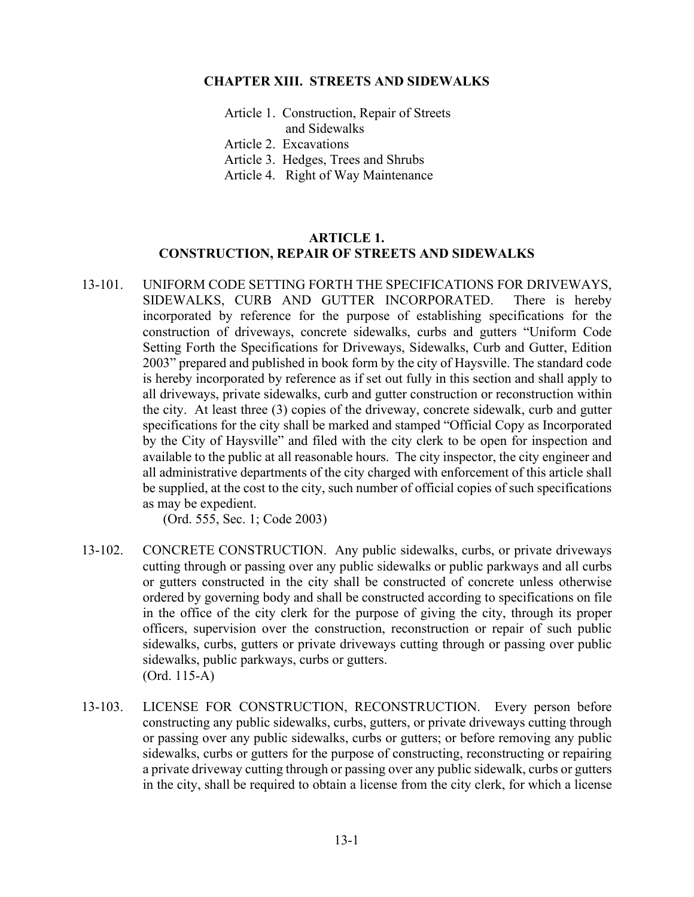### **CHAPTER XIII. STREETS AND SIDEWALKS**

- Article 1. Construction, Repair of Streets and Sidewalks
- Article 2. Excavations
- Article 3. Hedges, Trees and Shrubs
- Article 4. Right of Way Maintenance

### **ARTICLE 1. CONSTRUCTION, REPAIR OF STREETS AND SIDEWALKS**

13-101. UNIFORM CODE SETTING FORTH THE SPECIFICATIONS FOR DRIVEWAYS, SIDEWALKS, CURB AND GUTTER INCORPORATED. There is hereby incorporated by reference for the purpose of establishing specifications for the construction of driveways, concrete sidewalks, curbs and gutters "Uniform Code Setting Forth the Specifications for Driveways, Sidewalks, Curb and Gutter, Edition 2003" prepared and published in book form by the city of Haysville. The standard code is hereby incorporated by reference as if set out fully in this section and shall apply to all driveways, private sidewalks, curb and gutter construction or reconstruction within the city. At least three (3) copies of the driveway, concrete sidewalk, curb and gutter specifications for the city shall be marked and stamped "Official Copy as Incorporated by the City of Haysville" and filed with the city clerk to be open for inspection and available to the public at all reasonable hours. The city inspector, the city engineer and all administrative departments of the city charged with enforcement of this article shall be supplied, at the cost to the city, such number of official copies of such specifications as may be expedient.

(Ord. 555, Sec. 1; Code 2003)

- 13-102. CONCRETE CONSTRUCTION. Any public sidewalks, curbs, or private driveways cutting through or passing over any public sidewalks or public parkways and all curbs or gutters constructed in the city shall be constructed of concrete unless otherwise ordered by governing body and shall be constructed according to specifications on file in the office of the city clerk for the purpose of giving the city, through its proper officers, supervision over the construction, reconstruction or repair of such public sidewalks, curbs, gutters or private driveways cutting through or passing over public sidewalks, public parkways, curbs or gutters. (Ord. 115-A)
- 13-103. LICENSE FOR CONSTRUCTION, RECONSTRUCTION. Every person before constructing any public sidewalks, curbs, gutters, or private driveways cutting through or passing over any public sidewalks, curbs or gutters; or before removing any public sidewalks, curbs or gutters for the purpose of constructing, reconstructing or repairing a private driveway cutting through or passing over any public sidewalk, curbs or gutters in the city, shall be required to obtain a license from the city clerk, for which a license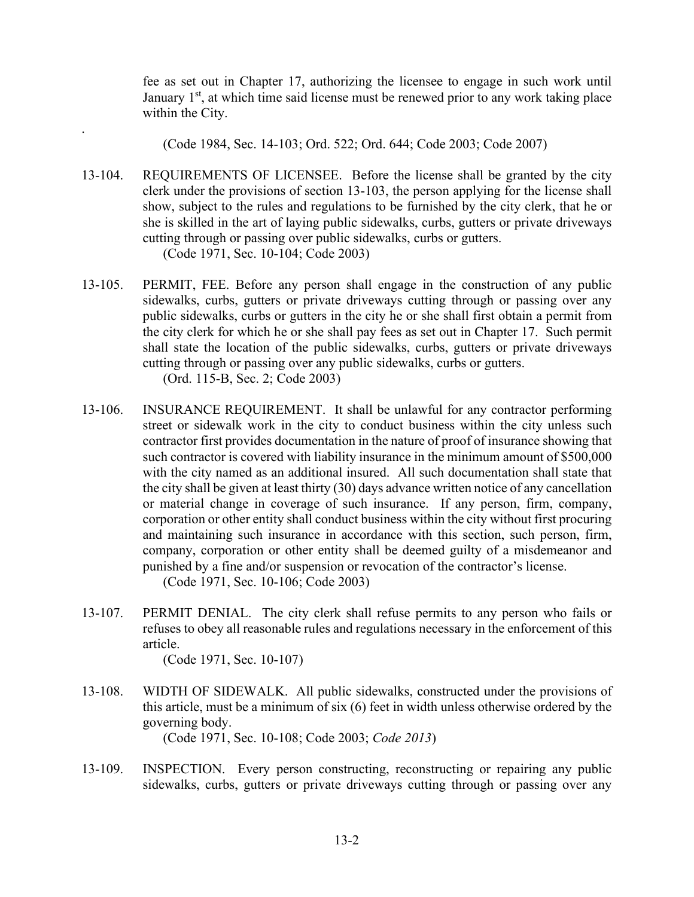fee as set out in Chapter 17, authorizing the licensee to engage in such work until January  $1<sup>st</sup>$ , at which time said license must be renewed prior to any work taking place within the City.

(Code 1984, Sec. 14-103; Ord. 522; Ord. 644; Code 2003; Code 2007)

- 13-104. REQUIREMENTS OF LICENSEE. Before the license shall be granted by the city clerk under the provisions of section 13-103, the person applying for the license shall show, subject to the rules and regulations to be furnished by the city clerk, that he or she is skilled in the art of laying public sidewalks, curbs, gutters or private driveways cutting through or passing over public sidewalks, curbs or gutters. (Code 1971, Sec. 10-104; Code 2003)
- 13-105. PERMIT, FEE. Before any person shall engage in the construction of any public sidewalks, curbs, gutters or private driveways cutting through or passing over any public sidewalks, curbs or gutters in the city he or she shall first obtain a permit from the city clerk for which he or she shall pay fees as set out in Chapter 17. Such permit shall state the location of the public sidewalks, curbs, gutters or private driveways cutting through or passing over any public sidewalks, curbs or gutters. (Ord. 115-B, Sec. 2; Code 2003)
- 13-106. INSURANCE REQUIREMENT. It shall be unlawful for any contractor performing street or sidewalk work in the city to conduct business within the city unless such contractor first provides documentation in the nature of proof of insurance showing that such contractor is covered with liability insurance in the minimum amount of \$500,000 with the city named as an additional insured. All such documentation shall state that the city shall be given at least thirty (30) days advance written notice of any cancellation or material change in coverage of such insurance. If any person, firm, company, corporation or other entity shall conduct business within the city without first procuring and maintaining such insurance in accordance with this section, such person, firm, company, corporation or other entity shall be deemed guilty of a misdemeanor and punished by a fine and/or suspension or revocation of the contractor's license.

(Code 1971, Sec. 10-106; Code 2003)

13-107. PERMIT DENIAL. The city clerk shall refuse permits to any person who fails or refuses to obey all reasonable rules and regulations necessary in the enforcement of this article.

(Code 1971, Sec. 10-107)

.

13-108. WIDTH OF SIDEWALK. All public sidewalks, constructed under the provisions of this article, must be a minimum of six (6) feet in width unless otherwise ordered by the governing body.

(Code 1971, Sec. 10-108; Code 2003; *Code 2013*)

13-109. INSPECTION. Every person constructing, reconstructing or repairing any public sidewalks, curbs, gutters or private driveways cutting through or passing over any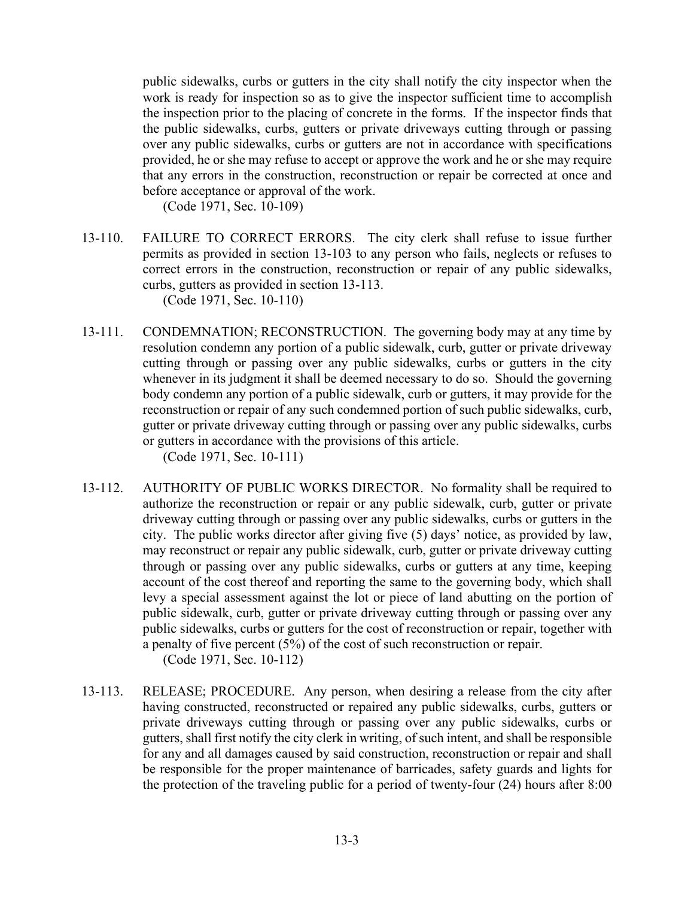public sidewalks, curbs or gutters in the city shall notify the city inspector when the work is ready for inspection so as to give the inspector sufficient time to accomplish the inspection prior to the placing of concrete in the forms. If the inspector finds that the public sidewalks, curbs, gutters or private driveways cutting through or passing over any public sidewalks, curbs or gutters are not in accordance with specifications provided, he or she may refuse to accept or approve the work and he or she may require that any errors in the construction, reconstruction or repair be corrected at once and before acceptance or approval of the work.

(Code 1971, Sec. 10-109)

13-110. FAILURE TO CORRECT ERRORS. The city clerk shall refuse to issue further permits as provided in section 13-103 to any person who fails, neglects or refuses to correct errors in the construction, reconstruction or repair of any public sidewalks, curbs, gutters as provided in section 13-113.

(Code 1971, Sec. 10-110)

13-111. CONDEMNATION; RECONSTRUCTION. The governing body may at any time by resolution condemn any portion of a public sidewalk, curb, gutter or private driveway cutting through or passing over any public sidewalks, curbs or gutters in the city whenever in its judgment it shall be deemed necessary to do so. Should the governing body condemn any portion of a public sidewalk, curb or gutters, it may provide for the reconstruction or repair of any such condemned portion of such public sidewalks, curb, gutter or private driveway cutting through or passing over any public sidewalks, curbs or gutters in accordance with the provisions of this article.

(Code 1971, Sec. 10-111)

13-112. AUTHORITY OF PUBLIC WORKS DIRECTOR. No formality shall be required to authorize the reconstruction or repair or any public sidewalk, curb, gutter or private driveway cutting through or passing over any public sidewalks, curbs or gutters in the city. The public works director after giving five (5) days' notice, as provided by law, may reconstruct or repair any public sidewalk, curb, gutter or private driveway cutting through or passing over any public sidewalks, curbs or gutters at any time, keeping account of the cost thereof and reporting the same to the governing body, which shall levy a special assessment against the lot or piece of land abutting on the portion of public sidewalk, curb, gutter or private driveway cutting through or passing over any public sidewalks, curbs or gutters for the cost of reconstruction or repair, together with a penalty of five percent (5%) of the cost of such reconstruction or repair.

(Code 1971, Sec. 10-112)

13-113. RELEASE; PROCEDURE. Any person, when desiring a release from the city after having constructed, reconstructed or repaired any public sidewalks, curbs, gutters or private driveways cutting through or passing over any public sidewalks, curbs or gutters, shall first notify the city clerk in writing, of such intent, and shall be responsible for any and all damages caused by said construction, reconstruction or repair and shall be responsible for the proper maintenance of barricades, safety guards and lights for the protection of the traveling public for a period of twenty-four (24) hours after 8:00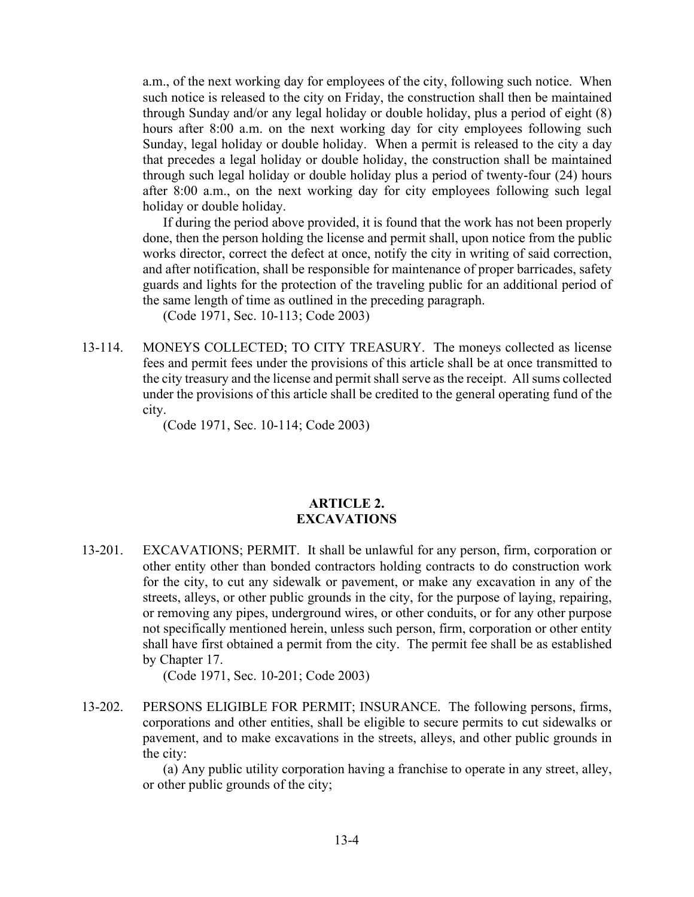a.m., of the next working day for employees of the city, following such notice. When such notice is released to the city on Friday, the construction shall then be maintained through Sunday and/or any legal holiday or double holiday, plus a period of eight (8) hours after 8:00 a.m. on the next working day for city employees following such Sunday, legal holiday or double holiday. When a permit is released to the city a day that precedes a legal holiday or double holiday, the construction shall be maintained through such legal holiday or double holiday plus a period of twenty-four (24) hours after 8:00 a.m., on the next working day for city employees following such legal holiday or double holiday.

If during the period above provided, it is found that the work has not been properly done, then the person holding the license and permit shall, upon notice from the public works director, correct the defect at once, notify the city in writing of said correction, and after notification, shall be responsible for maintenance of proper barricades, safety guards and lights for the protection of the traveling public for an additional period of the same length of time as outlined in the preceding paragraph.

(Code 1971, Sec. 10-113; Code 2003)

13-114. MONEYS COLLECTED; TO CITY TREASURY. The moneys collected as license fees and permit fees under the provisions of this article shall be at once transmitted to the city treasury and the license and permit shall serve as the receipt. All sums collected under the provisions of this article shall be credited to the general operating fund of the city.

(Code 1971, Sec. 10-114; Code 2003)

#### **ARTICLE 2. EXCAVATIONS**

13-201. EXCAVATIONS; PERMIT. It shall be unlawful for any person, firm, corporation or other entity other than bonded contractors holding contracts to do construction work for the city, to cut any sidewalk or pavement, or make any excavation in any of the streets, alleys, or other public grounds in the city, for the purpose of laying, repairing, or removing any pipes, underground wires, or other conduits, or for any other purpose not specifically mentioned herein, unless such person, firm, corporation or other entity shall have first obtained a permit from the city. The permit fee shall be as established by Chapter 17.

(Code 1971, Sec. 10-201; Code 2003)

13-202. PERSONS ELIGIBLE FOR PERMIT; INSURANCE. The following persons, firms, corporations and other entities, shall be eligible to secure permits to cut sidewalks or pavement, and to make excavations in the streets, alleys, and other public grounds in the city:

> (a) Any public utility corporation having a franchise to operate in any street, alley, or other public grounds of the city;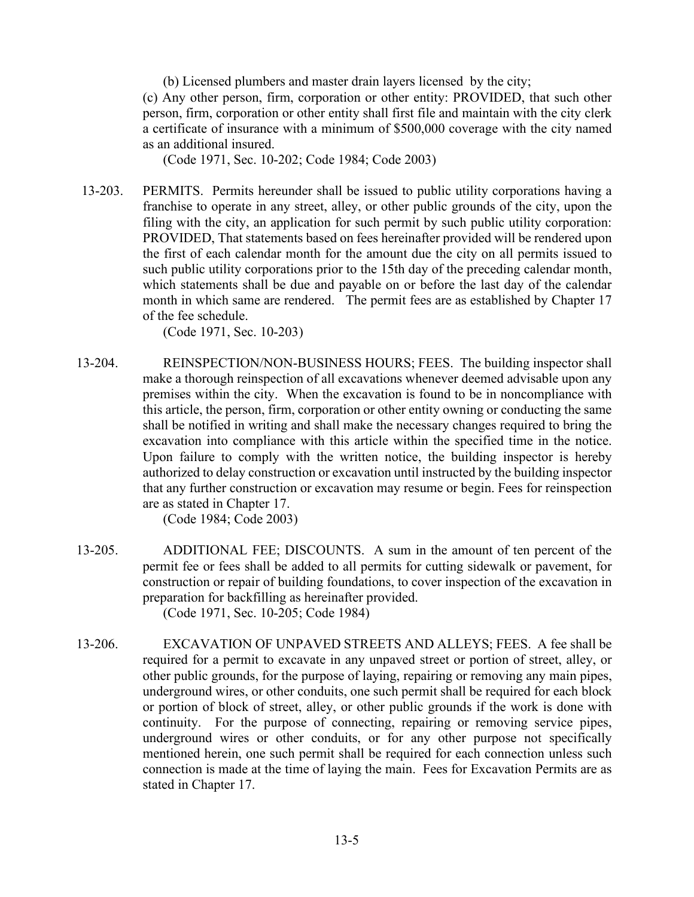(b) Licensed plumbers and master drain layers licensed by the city;

(c) Any other person, firm, corporation or other entity: PROVIDED, that such other person, firm, corporation or other entity shall first file and maintain with the city clerk a certificate of insurance with a minimum of \$500,000 coverage with the city named as an additional insured.

(Code 1971, Sec. 10-202; Code 1984; Code 2003)

13-203. PERMITS. Permits hereunder shall be issued to public utility corporations having a franchise to operate in any street, alley, or other public grounds of the city, upon the filing with the city, an application for such permit by such public utility corporation: PROVIDED, That statements based on fees hereinafter provided will be rendered upon the first of each calendar month for the amount due the city on all permits issued to such public utility corporations prior to the 15th day of the preceding calendar month, which statements shall be due and payable on or before the last day of the calendar month in which same are rendered. The permit fees are as established by Chapter 17 of the fee schedule.

(Code 1971, Sec. 10-203)

13-204. REINSPECTION/NON-BUSINESS HOURS; FEES. The building inspector shall make a thorough reinspection of all excavations whenever deemed advisable upon any premises within the city. When the excavation is found to be in noncompliance with this article, the person, firm, corporation or other entity owning or conducting the same shall be notified in writing and shall make the necessary changes required to bring the excavation into compliance with this article within the specified time in the notice. Upon failure to comply with the written notice, the building inspector is hereby authorized to delay construction or excavation until instructed by the building inspector that any further construction or excavation may resume or begin. Fees for reinspection are as stated in Chapter 17.

(Code 1984; Code 2003)

- 13-205. ADDITIONAL FEE; DISCOUNTS. A sum in the amount of ten percent of the permit fee or fees shall be added to all permits for cutting sidewalk or pavement, for construction or repair of building foundations, to cover inspection of the excavation in preparation for backfilling as hereinafter provided. (Code 1971, Sec. 10-205; Code 1984)
- 13-206. EXCAVATION OF UNPAVED STREETS AND ALLEYS; FEES. A fee shall be required for a permit to excavate in any unpaved street or portion of street, alley, or other public grounds, for the purpose of laying, repairing or removing any main pipes, underground wires, or other conduits, one such permit shall be required for each block or portion of block of street, alley, or other public grounds if the work is done with continuity. For the purpose of connecting, repairing or removing service pipes, underground wires or other conduits, or for any other purpose not specifically mentioned herein, one such permit shall be required for each connection unless such connection is made at the time of laying the main. Fees for Excavation Permits are as stated in Chapter 17.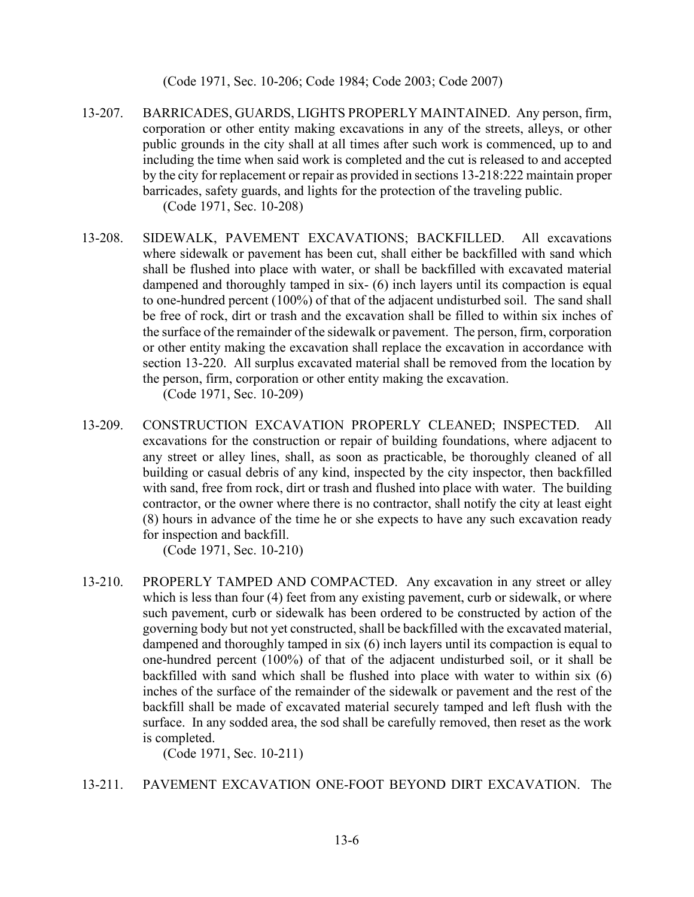(Code 1971, Sec. 10-206; Code 1984; Code 2003; Code 2007)

- 13-207. BARRICADES, GUARDS, LIGHTS PROPERLY MAINTAINED. Any person, firm, corporation or other entity making excavations in any of the streets, alleys, or other public grounds in the city shall at all times after such work is commenced, up to and including the time when said work is completed and the cut is released to and accepted by the city for replacement or repair as provided in sections 13-218:222 maintain proper barricades, safety guards, and lights for the protection of the traveling public. (Code 1971, Sec. 10-208)
- 13-208. SIDEWALK, PAVEMENT EXCAVATIONS; BACKFILLED. All excavations where sidewalk or pavement has been cut, shall either be backfilled with sand which shall be flushed into place with water, or shall be backfilled with excavated material dampened and thoroughly tamped in six- (6) inch layers until its compaction is equal to one-hundred percent (100%) of that of the adjacent undisturbed soil. The sand shall be free of rock, dirt or trash and the excavation shall be filled to within six inches of the surface of the remainder of the sidewalk or pavement. The person, firm, corporation or other entity making the excavation shall replace the excavation in accordance with section 13-220. All surplus excavated material shall be removed from the location by the person, firm, corporation or other entity making the excavation. (Code 1971, Sec. 10-209)
- 13-209. CONSTRUCTION EXCAVATION PROPERLY CLEANED; INSPECTED. All excavations for the construction or repair of building foundations, where adjacent to any street or alley lines, shall, as soon as practicable, be thoroughly cleaned of all building or casual debris of any kind, inspected by the city inspector, then backfilled with sand, free from rock, dirt or trash and flushed into place with water. The building contractor, or the owner where there is no contractor, shall notify the city at least eight (8) hours in advance of the time he or she expects to have any such excavation ready for inspection and backfill.

(Code 1971, Sec. 10-210)

13-210. PROPERLY TAMPED AND COMPACTED. Any excavation in any street or alley which is less than four (4) feet from any existing pavement, curb or sidewalk, or where such pavement, curb or sidewalk has been ordered to be constructed by action of the governing body but not yet constructed, shall be backfilled with the excavated material, dampened and thoroughly tamped in six (6) inch layers until its compaction is equal to one-hundred percent (100%) of that of the adjacent undisturbed soil, or it shall be backfilled with sand which shall be flushed into place with water to within six (6) inches of the surface of the remainder of the sidewalk or pavement and the rest of the backfill shall be made of excavated material securely tamped and left flush with the surface. In any sodded area, the sod shall be carefully removed, then reset as the work is completed.

(Code 1971, Sec. 10-211)

## 13-211. PAVEMENT EXCAVATION ONE-FOOT BEYOND DIRT EXCAVATION. The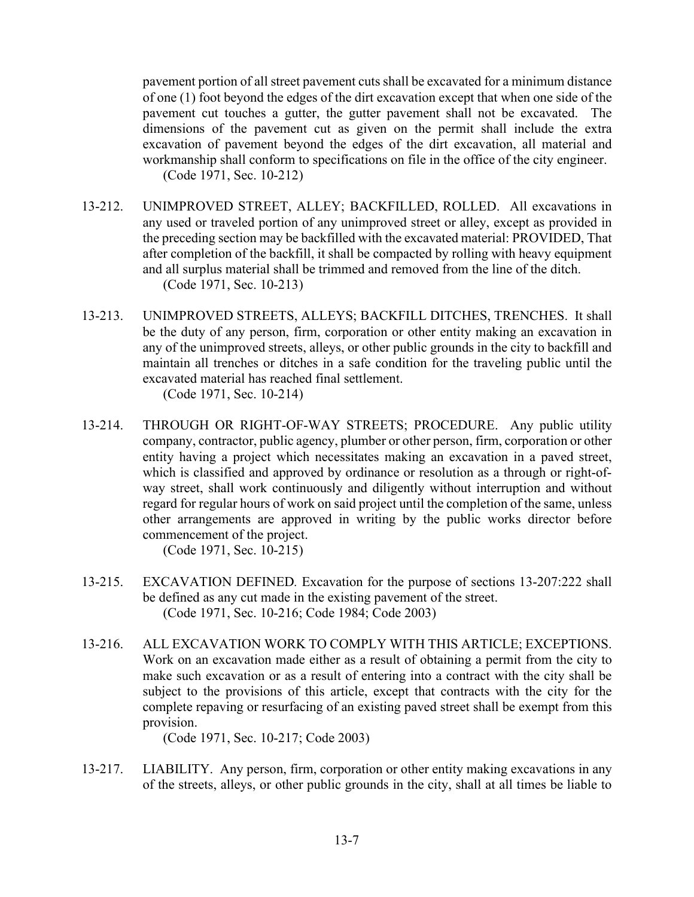pavement portion of all street pavement cuts shall be excavated for a minimum distance of one (1) foot beyond the edges of the dirt excavation except that when one side of the pavement cut touches a gutter, the gutter pavement shall not be excavated. The dimensions of the pavement cut as given on the permit shall include the extra excavation of pavement beyond the edges of the dirt excavation, all material and workmanship shall conform to specifications on file in the office of the city engineer. (Code 1971, Sec. 10-212)

- 13-212. UNIMPROVED STREET, ALLEY; BACKFILLED, ROLLED. All excavations in any used or traveled portion of any unimproved street or alley, except as provided in the preceding section may be backfilled with the excavated material: PROVIDED, That after completion of the backfill, it shall be compacted by rolling with heavy equipment and all surplus material shall be trimmed and removed from the line of the ditch. (Code 1971, Sec. 10-213)
- 13-213. UNIMPROVED STREETS, ALLEYS; BACKFILL DITCHES, TRENCHES. It shall be the duty of any person, firm, corporation or other entity making an excavation in any of the unimproved streets, alleys, or other public grounds in the city to backfill and maintain all trenches or ditches in a safe condition for the traveling public until the excavated material has reached final settlement. (Code 1971, Sec. 10-214)
- 13-214. THROUGH OR RIGHT-OF-WAY STREETS; PROCEDURE. Any public utility company, contractor, public agency, plumber or other person, firm, corporation or other entity having a project which necessitates making an excavation in a paved street, which is classified and approved by ordinance or resolution as a through or right-ofway street, shall work continuously and diligently without interruption and without regard for regular hours of work on said project until the completion of the same, unless other arrangements are approved in writing by the public works director before commencement of the project.

(Code 1971, Sec. 10-215)

- 13-215. EXCAVATION DEFINED*.* Excavation for the purpose of sections 13-207:222 shall be defined as any cut made in the existing pavement of the street. (Code 1971, Sec. 10-216; Code 1984; Code 2003)
- 13-216. ALL EXCAVATION WORK TO COMPLY WITH THIS ARTICLE; EXCEPTIONS. Work on an excavation made either as a result of obtaining a permit from the city to make such excavation or as a result of entering into a contract with the city shall be subject to the provisions of this article, except that contracts with the city for the complete repaving or resurfacing of an existing paved street shall be exempt from this provision.

(Code 1971, Sec. 10-217; Code 2003)

13-217. LIABILITY. Any person, firm, corporation or other entity making excavations in any of the streets, alleys, or other public grounds in the city, shall at all times be liable to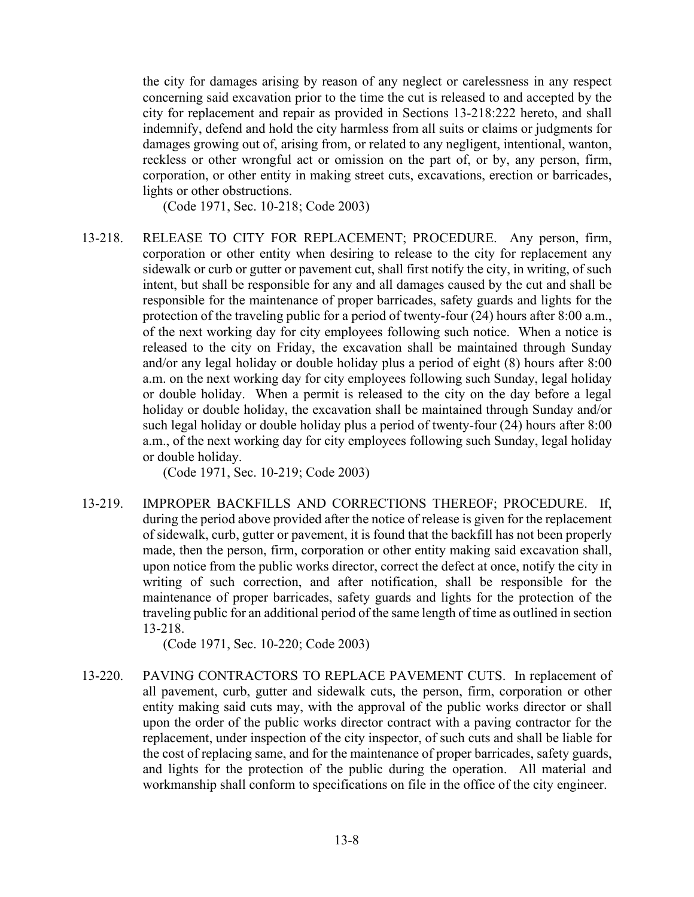the city for damages arising by reason of any neglect or carelessness in any respect concerning said excavation prior to the time the cut is released to and accepted by the city for replacement and repair as provided in Sections 13-218:222 hereto, and shall indemnify, defend and hold the city harmless from all suits or claims or judgments for damages growing out of, arising from, or related to any negligent, intentional, wanton, reckless or other wrongful act or omission on the part of, or by, any person, firm, corporation, or other entity in making street cuts, excavations, erection or barricades, lights or other obstructions.

(Code 1971, Sec. 10-218; Code 2003)

13-218. RELEASE TO CITY FOR REPLACEMENT; PROCEDURE. Any person, firm, corporation or other entity when desiring to release to the city for replacement any sidewalk or curb or gutter or pavement cut, shall first notify the city, in writing, of such intent, but shall be responsible for any and all damages caused by the cut and shall be responsible for the maintenance of proper barricades, safety guards and lights for the protection of the traveling public for a period of twenty-four (24) hours after 8:00 a.m., of the next working day for city employees following such notice. When a notice is released to the city on Friday, the excavation shall be maintained through Sunday and/or any legal holiday or double holiday plus a period of eight (8) hours after 8:00 a.m. on the next working day for city employees following such Sunday, legal holiday or double holiday. When a permit is released to the city on the day before a legal holiday or double holiday, the excavation shall be maintained through Sunday and/or such legal holiday or double holiday plus a period of twenty-four (24) hours after 8:00 a.m., of the next working day for city employees following such Sunday, legal holiday or double holiday.

(Code 1971, Sec. 10-219; Code 2003)

13-219. IMPROPER BACKFILLS AND CORRECTIONS THEREOF; PROCEDURE.If, during the period above provided after the notice of release is given for the replacement of sidewalk, curb, gutter or pavement, it is found that the backfill has not been properly made, then the person, firm, corporation or other entity making said excavation shall, upon notice from the public works director, correct the defect at once, notify the city in writing of such correction, and after notification, shall be responsible for the maintenance of proper barricades, safety guards and lights for the protection of the traveling public for an additional period of the same length of time as outlined in section 13-218.

(Code 1971, Sec. 10-220; Code 2003)

13-220. PAVING CONTRACTORS TO REPLACE PAVEMENT CUTS. In replacement of all pavement, curb, gutter and sidewalk cuts, the person, firm, corporation or other entity making said cuts may, with the approval of the public works director or shall upon the order of the public works director contract with a paving contractor for the replacement, under inspection of the city inspector, of such cuts and shall be liable for the cost of replacing same, and for the maintenance of proper barricades, safety guards, and lights for the protection of the public during the operation. All material and workmanship shall conform to specifications on file in the office of the city engineer.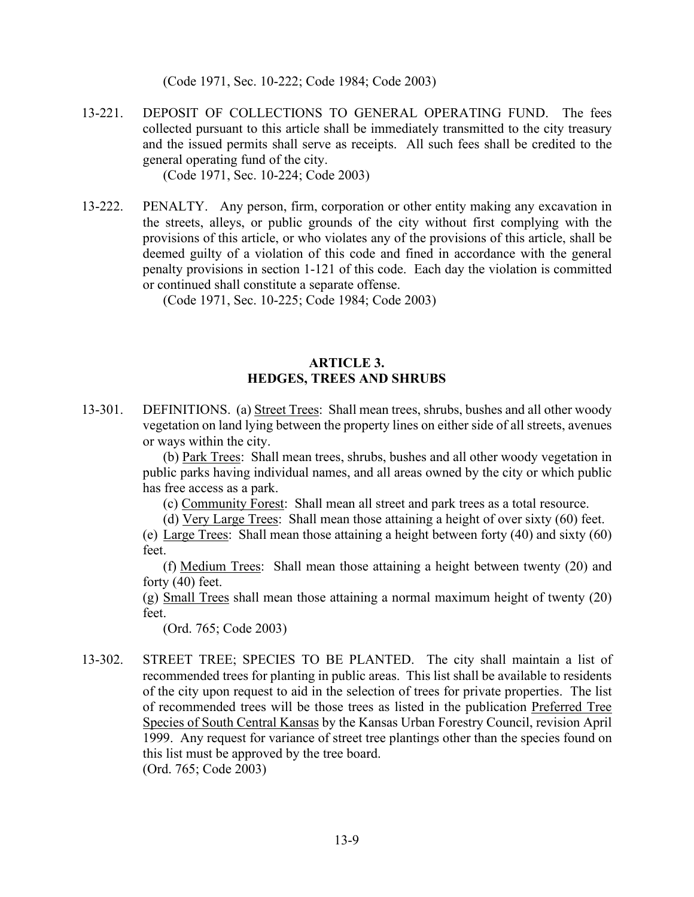(Code 1971, Sec. 10-222; Code 1984; Code 2003)

13-221. DEPOSIT OF COLLECTIONS TO GENERAL OPERATING FUND. The fees collected pursuant to this article shall be immediately transmitted to the city treasury and the issued permits shall serve as receipts. All such fees shall be credited to the general operating fund of the city.

(Code 1971, Sec. 10-224; Code 2003)

13-222. PENALTY. Any person, firm, corporation or other entity making any excavation in the streets, alleys, or public grounds of the city without first complying with the provisions of this article, or who violates any of the provisions of this article, shall be deemed guilty of a violation of this code and fined in accordance with the general penalty provisions in section 1-121 of this code. Each day the violation is committed or continued shall constitute a separate offense.

(Code 1971, Sec. 10-225; Code 1984; Code 2003)

## **ARTICLE 3. HEDGES, TREES AND SHRUBS**

13-301. DEFINITIONS. (a) Street Trees: Shall mean trees, shrubs, bushes and all other woody vegetation on land lying between the property lines on either side of all streets, avenues or ways within the city.

> (b) Park Trees: Shall mean trees, shrubs, bushes and all other woody vegetation in public parks having individual names, and all areas owned by the city or which public has free access as a park.

(c) Community Forest: Shall mean all street and park trees as a total resource.

(d) Very Large Trees: Shall mean those attaining a height of over sixty (60) feet.

(e) Large Trees: Shall mean those attaining a height between forty (40) and sixty (60) feet.

 (f) Medium Trees: Shall mean those attaining a height between twenty (20) and forty (40) feet.

(g) Small Trees shall mean those attaining a normal maximum height of twenty (20) feet.

(Ord. 765; Code 2003)

13-302. STREET TREE; SPECIES TO BE PLANTED. The city shall maintain a list of recommended trees for planting in public areas. This list shall be available to residents of the city upon request to aid in the selection of trees for private properties. The list of recommended trees will be those trees as listed in the publication Preferred Tree Species of South Central Kansas by the Kansas Urban Forestry Council, revision April 1999. Any request for variance of street tree plantings other than the species found on this list must be approved by the tree board. (Ord. 765; Code 2003)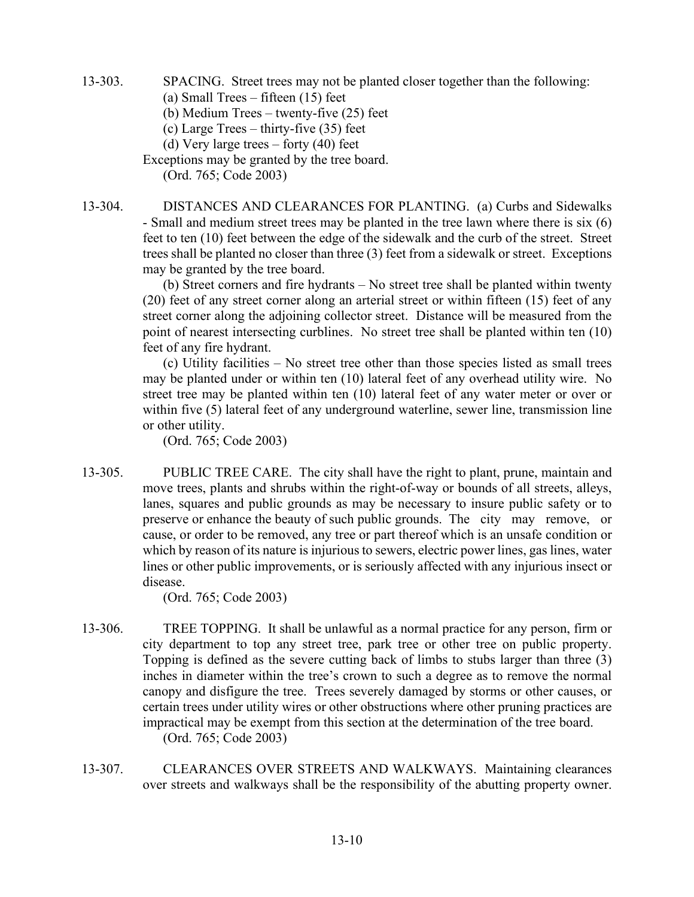13-303. SPACING. Street trees may not be planted closer together than the following:

(a) Small Trees – fifteen (15) feet

(b) Medium Trees – twenty-five (25) feet

- (c) Large Trees thirty-five (35) feet
- (d) Very large trees forty (40) feet

Exceptions may be granted by the tree board. (Ord. 765; Code 2003)

13-304. DISTANCES AND CLEARANCES FOR PLANTING. (a) Curbs and Sidewalks - Small and medium street trees may be planted in the tree lawn where there is six (6) feet to ten (10) feet between the edge of the sidewalk and the curb of the street. Street trees shall be planted no closer than three (3) feet from a sidewalk or street. Exceptions may be granted by the tree board.

> (b) Street corners and fire hydrants – No street tree shall be planted within twenty (20) feet of any street corner along an arterial street or within fifteen (15) feet of any street corner along the adjoining collector street. Distance will be measured from the point of nearest intersecting curblines. No street tree shall be planted within ten (10) feet of any fire hydrant.

> (c) Utility facilities – No street tree other than those species listed as small trees may be planted under or within ten (10) lateral feet of any overhead utility wire. No street tree may be planted within ten (10) lateral feet of any water meter or over or within five (5) lateral feet of any underground waterline, sewer line, transmission line or other utility.

(Ord. 765; Code 2003)

13-305. PUBLIC TREE CARE. The city shall have the right to plant, prune, maintain and move trees, plants and shrubs within the right-of-way or bounds of all streets, alleys, lanes, squares and public grounds as may be necessary to insure public safety or to preserve or enhance the beauty of such public grounds. The city may remove, or cause, or order to be removed, any tree or part thereof which is an unsafe condition or which by reason of its nature is injurious to sewers, electric power lines, gas lines, water lines or other public improvements, or is seriously affected with any injurious insect or disease.

(Ord. 765; Code 2003)

- 13-306. TREE TOPPING. It shall be unlawful as a normal practice for any person, firm or city department to top any street tree, park tree or other tree on public property. Topping is defined as the severe cutting back of limbs to stubs larger than three (3) inches in diameter within the tree's crown to such a degree as to remove the normal canopy and disfigure the tree. Trees severely damaged by storms or other causes, or certain trees under utility wires or other obstructions where other pruning practices are impractical may be exempt from this section at the determination of the tree board. (Ord. 765; Code 2003)
- 13-307. CLEARANCES OVER STREETS AND WALKWAYS. Maintaining clearances over streets and walkways shall be the responsibility of the abutting property owner.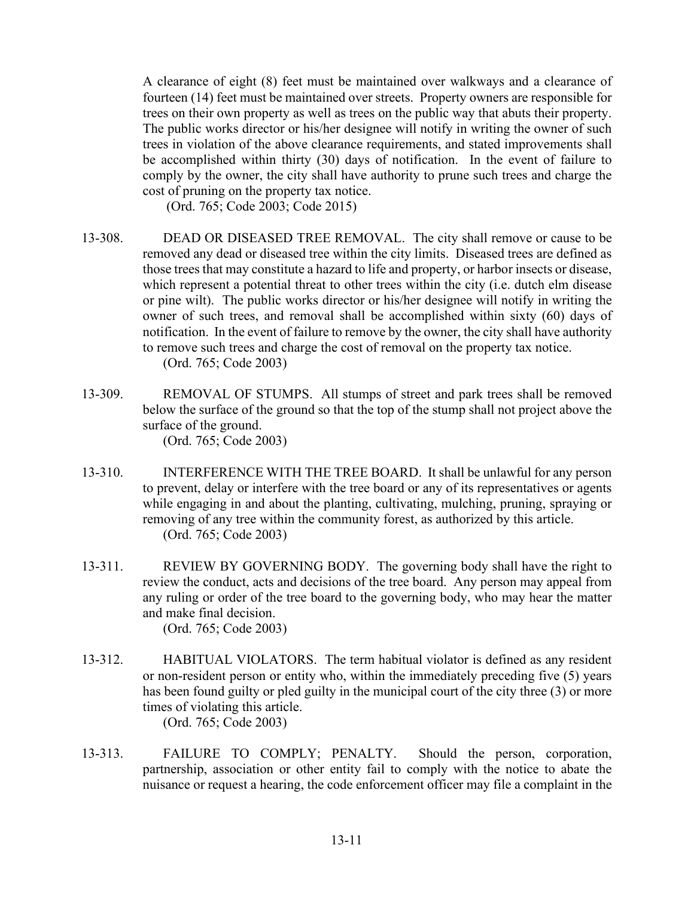A clearance of eight (8) feet must be maintained over walkways and a clearance of fourteen (14) feet must be maintained over streets. Property owners are responsible for trees on their own property as well as trees on the public way that abuts their property. The public works director or his/her designee will notify in writing the owner of such trees in violation of the above clearance requirements, and stated improvements shall be accomplished within thirty (30) days of notification. In the event of failure to comply by the owner, the city shall have authority to prune such trees and charge the cost of pruning on the property tax notice.

(Ord. 765; Code 2003; Code 2015)

- 13-308. DEAD OR DISEASED TREE REMOVAL. The city shall remove or cause to be removed any dead or diseased tree within the city limits. Diseased trees are defined as those trees that may constitute a hazard to life and property, or harbor insects or disease, which represent a potential threat to other trees within the city (i.e. dutch elm disease or pine wilt). The public works director or his/her designee will notify in writing the owner of such trees, and removal shall be accomplished within sixty (60) days of notification. In the event of failure to remove by the owner, the city shall have authority to remove such trees and charge the cost of removal on the property tax notice. (Ord. 765; Code 2003)
- 13-309. REMOVAL OF STUMPS. All stumps of street and park trees shall be removed below the surface of the ground so that the top of the stump shall not project above the surface of the ground. (Ord. 765; Code 2003)
- 13-310. INTERFERENCE WITH THE TREE BOARD. It shall be unlawful for any person to prevent, delay or interfere with the tree board or any of its representatives or agents while engaging in and about the planting, cultivating, mulching, pruning, spraying or removing of any tree within the community forest, as authorized by this article. (Ord. 765; Code 2003)
- 13-311. REVIEW BY GOVERNING BODY. The governing body shall have the right to review the conduct, acts and decisions of the tree board. Any person may appeal from any ruling or order of the tree board to the governing body, who may hear the matter and make final decision. (Ord. 765; Code 2003)
- 13-312. HABITUAL VIOLATORS. The term habitual violator is defined as any resident or non-resident person or entity who, within the immediately preceding five (5) years has been found guilty or pled guilty in the municipal court of the city three (3) or more times of violating this article.

(Ord. 765; Code 2003)

13-313. FAILURE TO COMPLY; PENALTY. Should the person, corporation, partnership, association or other entity fail to comply with the notice to abate the nuisance or request a hearing, the code enforcement officer may file a complaint in the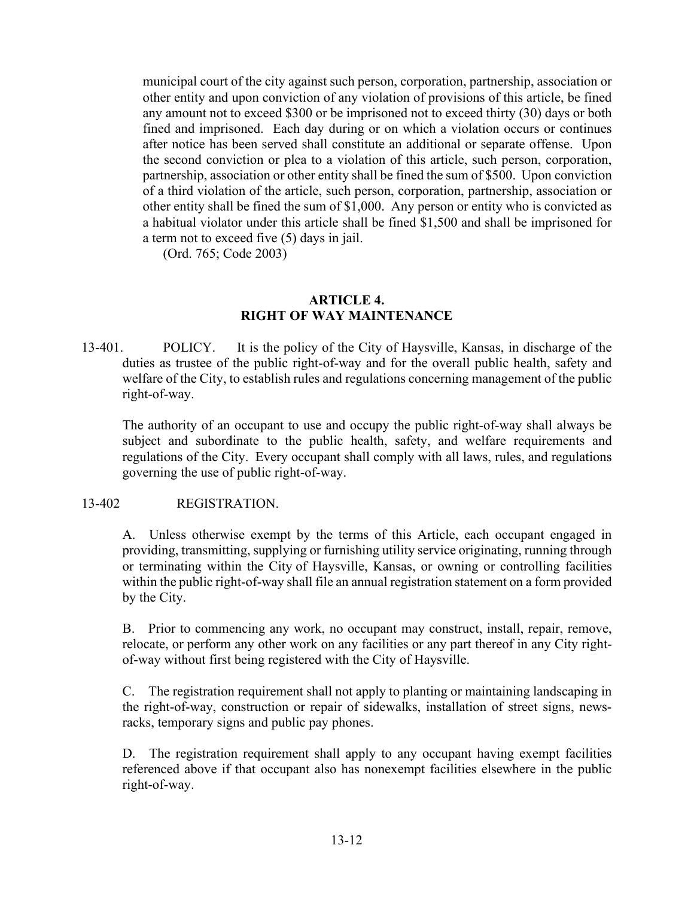municipal court of the city against such person, corporation, partnership, association or other entity and upon conviction of any violation of provisions of this article, be fined any amount not to exceed \$300 or be imprisoned not to exceed thirty (30) days or both fined and imprisoned. Each day during or on which a violation occurs or continues after notice has been served shall constitute an additional or separate offense. Upon the second conviction or plea to a violation of this article, such person, corporation, partnership, association or other entity shall be fined the sum of \$500. Upon conviction of a third violation of the article, such person, corporation, partnership, association or other entity shall be fined the sum of \$1,000. Any person or entity who is convicted as a habitual violator under this article shall be fined \$1,500 and shall be imprisoned for a term not to exceed five (5) days in jail.

(Ord. 765; Code 2003)

### **ARTICLE 4. RIGHT OF WAY MAINTENANCE**

13-401. POLICY. It is the policy of the City of Haysville, Kansas, in discharge of the duties as trustee of the public right-of-way and for the overall public health, safety and welfare of the City, to establish rules and regulations concerning management of the public right-of-way.

The authority of an occupant to use and occupy the public right-of-way shall always be subject and subordinate to the public health, safety, and welfare requirements and regulations of the City. Every occupant shall comply with all laws, rules, and regulations governing the use of public right-of-way.

#### 13-402 REGISTRATION.

A. Unless otherwise exempt by the terms of this Article, each occupant engaged in providing, transmitting, supplying or furnishing utility service originating, running through or terminating within the City of Haysville, Kansas, or owning or controlling facilities within the public right-of-way shall file an annual registration statement on a form provided by the City.

B. Prior to commencing any work, no occupant may construct, install, repair, remove, relocate, or perform any other work on any facilities or any part thereof in any City rightof-way without first being registered with the City of Haysville.

C. The registration requirement shall not apply to planting or maintaining landscaping in the right-of-way, construction or repair of sidewalks, installation of street signs, newsracks, temporary signs and public pay phones.

D. The registration requirement shall apply to any occupant having exempt facilities referenced above if that occupant also has nonexempt facilities elsewhere in the public right-of-way.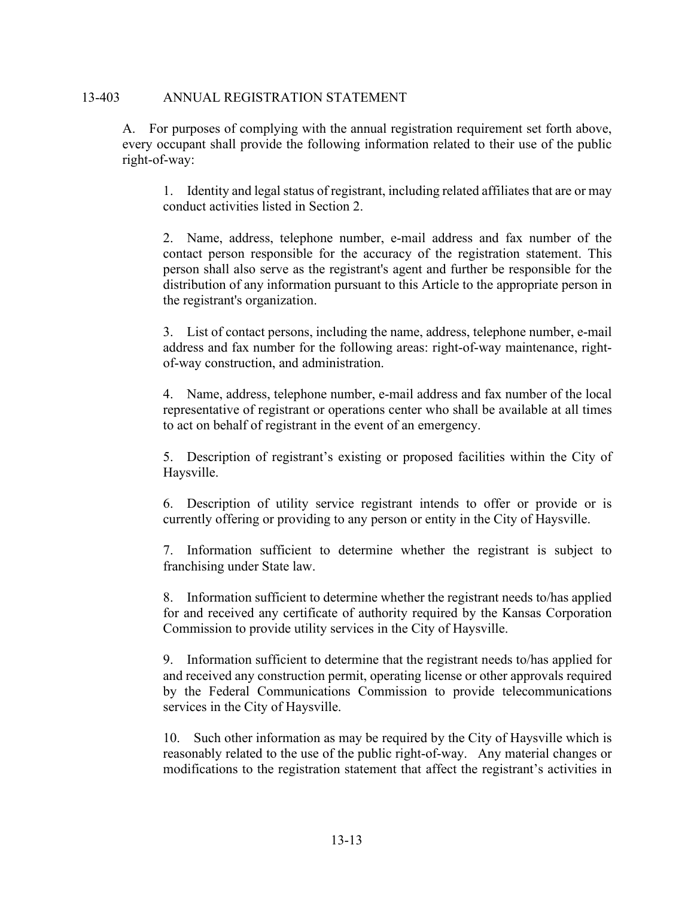## 13-403 ANNUAL REGISTRATION STATEMENT

A. For purposes of complying with the annual registration requirement set forth above, every occupant shall provide the following information related to their use of the public right-of-way:

 1. Identity and legal status of registrant, including related affiliates that are or may conduct activities listed in Section 2.

 2. Name, address, telephone number, e-mail address and fax number of the contact person responsible for the accuracy of the registration statement. This person shall also serve as the registrant's agent and further be responsible for the distribution of any information pursuant to this Article to the appropriate person in the registrant's organization.

 3. List of contact persons, including the name, address, telephone number, e-mail address and fax number for the following areas: right-of-way maintenance, rightof-way construction, and administration.

 4. Name, address, telephone number, e-mail address and fax number of the local representative of registrant or operations center who shall be available at all times to act on behalf of registrant in the event of an emergency.

 5. Description of registrant's existing or proposed facilities within the City of Haysville.

 6. Description of utility service registrant intends to offer or provide or is currently offering or providing to any person or entity in the City of Haysville.

 7. Information sufficient to determine whether the registrant is subject to franchising under State law.

 8. Information sufficient to determine whether the registrant needs to/has applied for and received any certificate of authority required by the Kansas Corporation Commission to provide utility services in the City of Haysville.

 9. Information sufficient to determine that the registrant needs to/has applied for and received any construction permit, operating license or other approvals required by the Federal Communications Commission to provide telecommunications services in the City of Haysville.

 10. Such other information as may be required by the City of Haysville which is reasonably related to the use of the public right-of-way. Any material changes or modifications to the registration statement that affect the registrant's activities in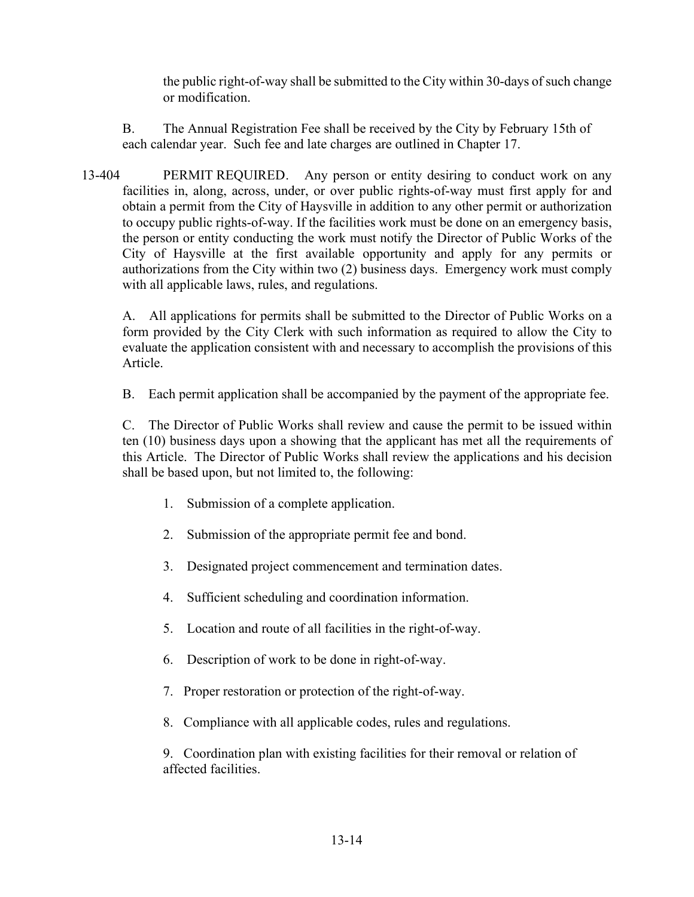the public right-of-way shall be submitted to the City within 30-days of such change or modification.

B. The Annual Registration Fee shall be received by the City by February 15th of each calendar year. Such fee and late charges are outlined in Chapter 17.

13-404 PERMIT REQUIRED. Any person or entity desiring to conduct work on any facilities in, along, across, under, or over public rights-of-way must first apply for and obtain a permit from the City of Haysville in addition to any other permit or authorization to occupy public rights-of-way. If the facilities work must be done on an emergency basis, the person or entity conducting the work must notify the Director of Public Works of the City of Haysville at the first available opportunity and apply for any permits or authorizations from the City within two (2) business days. Emergency work must comply with all applicable laws, rules, and regulations.

A. All applications for permits shall be submitted to the Director of Public Works on a form provided by the City Clerk with such information as required to allow the City to evaluate the application consistent with and necessary to accomplish the provisions of this Article.

B. Each permit application shall be accompanied by the payment of the appropriate fee.

C. The Director of Public Works shall review and cause the permit to be issued within ten (10) business days upon a showing that the applicant has met all the requirements of this Article. The Director of Public Works shall review the applications and his decision shall be based upon, but not limited to, the following:

- 1. Submission of a complete application.
- 2. Submission of the appropriate permit fee and bond.
- 3. Designated project commencement and termination dates.
- 4. Sufficient scheduling and coordination information.
- 5. Location and route of all facilities in the right-of-way.
- 6. Description of work to be done in right-of-way.
- 7. Proper restoration or protection of the right-of-way.
- 8. Compliance with all applicable codes, rules and regulations.

9. Coordination plan with existing facilities for their removal or relation of affected facilities.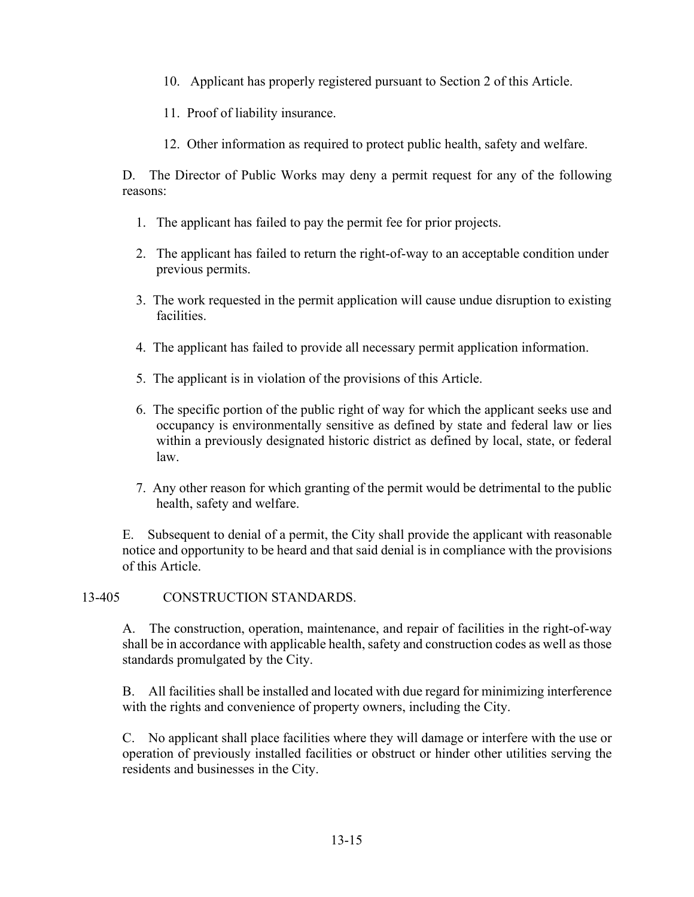10. Applicant has properly registered pursuant to Section 2 of this Article.

11. Proof of liability insurance.

12. Other information as required to protect public health, safety and welfare.

D. The Director of Public Works may deny a permit request for any of the following reasons:

- 1. The applicant has failed to pay the permit fee for prior projects.
- 2. The applicant has failed to return the right-of-way to an acceptable condition under previous permits.
- 3. The work requested in the permit application will cause undue disruption to existing facilities.
- 4. The applicant has failed to provide all necessary permit application information.
- 5. The applicant is in violation of the provisions of this Article.
- 6. The specific portion of the public right of way for which the applicant seeks use and occupancy is environmentally sensitive as defined by state and federal law or lies within a previously designated historic district as defined by local, state, or federal law.
- 7. Any other reason for which granting of the permit would be detrimental to the public health, safety and welfare.

E. Subsequent to denial of a permit, the City shall provide the applicant with reasonable notice and opportunity to be heard and that said denial is in compliance with the provisions of this Article.

13-405 CONSTRUCTION STANDARDS.

A. The construction, operation, maintenance, and repair of facilities in the right-of-way shall be in accordance with applicable health, safety and construction codes as well as those standards promulgated by the City.

B. All facilities shall be installed and located with due regard for minimizing interference with the rights and convenience of property owners, including the City.

C. No applicant shall place facilities where they will damage or interfere with the use or operation of previously installed facilities or obstruct or hinder other utilities serving the residents and businesses in the City.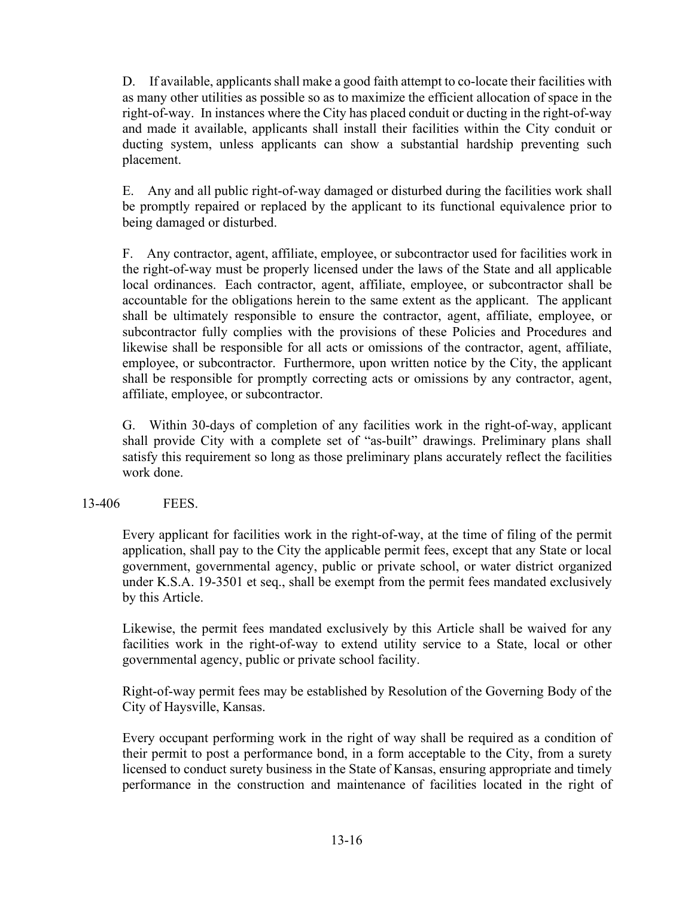D. If available, applicants shall make a good faith attempt to co-locate their facilities with as many other utilities as possible so as to maximize the efficient allocation of space in the right-of-way. In instances where the City has placed conduit or ducting in the right-of-way and made it available, applicants shall install their facilities within the City conduit or ducting system, unless applicants can show a substantial hardship preventing such placement.

E. Any and all public right-of-way damaged or disturbed during the facilities work shall be promptly repaired or replaced by the applicant to its functional equivalence prior to being damaged or disturbed.

F. Any contractor, agent, affiliate, employee, or subcontractor used for facilities work in the right-of-way must be properly licensed under the laws of the State and all applicable local ordinances. Each contractor, agent, affiliate, employee, or subcontractor shall be accountable for the obligations herein to the same extent as the applicant. The applicant shall be ultimately responsible to ensure the contractor, agent, affiliate, employee, or subcontractor fully complies with the provisions of these Policies and Procedures and likewise shall be responsible for all acts or omissions of the contractor, agent, affiliate, employee, or subcontractor. Furthermore, upon written notice by the City, the applicant shall be responsible for promptly correcting acts or omissions by any contractor, agent, affiliate, employee, or subcontractor.

G. Within 30-days of completion of any facilities work in the right-of-way, applicant shall provide City with a complete set of "as-built" drawings. Preliminary plans shall satisfy this requirement so long as those preliminary plans accurately reflect the facilities work done.

# 13-406 FEES.

Every applicant for facilities work in the right-of-way, at the time of filing of the permit application, shall pay to the City the applicable permit fees, except that any State or local government, governmental agency, public or private school, or water district organized under K.S.A. 19-3501 et seq., shall be exempt from the permit fees mandated exclusively by this Article.

Likewise, the permit fees mandated exclusively by this Article shall be waived for any facilities work in the right-of-way to extend utility service to a State, local or other governmental agency, public or private school facility.

Right-of-way permit fees may be established by Resolution of the Governing Body of the City of Haysville, Kansas.

 Every occupant performing work in the right of way shall be required as a condition of their permit to post a performance bond, in a form acceptable to the City, from a surety licensed to conduct surety business in the State of Kansas, ensuring appropriate and timely performance in the construction and maintenance of facilities located in the right of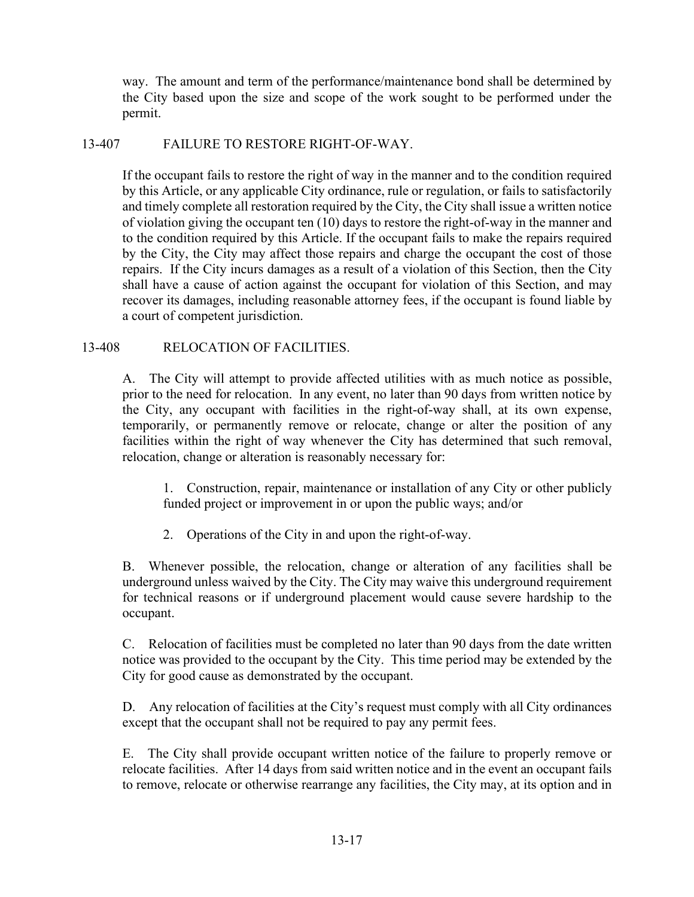way. The amount and term of the performance/maintenance bond shall be determined by the City based upon the size and scope of the work sought to be performed under the permit.

# 13-407 FAILURE TO RESTORE RIGHT-OF-WAY.

If the occupant fails to restore the right of way in the manner and to the condition required by this Article, or any applicable City ordinance, rule or regulation, or fails to satisfactorily and timely complete all restoration required by the City, the City shall issue a written notice of violation giving the occupant ten (10) days to restore the right-of-way in the manner and to the condition required by this Article. If the occupant fails to make the repairs required by the City, the City may affect those repairs and charge the occupant the cost of those repairs. If the City incurs damages as a result of a violation of this Section, then the City shall have a cause of action against the occupant for violation of this Section, and may recover its damages, including reasonable attorney fees, if the occupant is found liable by a court of competent jurisdiction.

## 13-408 RELOCATION OF FACILITIES.

A. The City will attempt to provide affected utilities with as much notice as possible, prior to the need for relocation. In any event, no later than 90 days from written notice by the City, any occupant with facilities in the right-of-way shall, at its own expense, temporarily, or permanently remove or relocate, change or alter the position of any facilities within the right of way whenever the City has determined that such removal, relocation, change or alteration is reasonably necessary for:

 1. Construction, repair, maintenance or installation of any City or other publicly funded project or improvement in or upon the public ways; and/or

2. Operations of the City in and upon the right-of-way.

B. Whenever possible, the relocation, change or alteration of any facilities shall be underground unless waived by the City. The City may waive this underground requirement for technical reasons or if underground placement would cause severe hardship to the occupant.

C. Relocation of facilities must be completed no later than 90 days from the date written notice was provided to the occupant by the City. This time period may be extended by the City for good cause as demonstrated by the occupant.

D. Any relocation of facilities at the City's request must comply with all City ordinances except that the occupant shall not be required to pay any permit fees.

E. The City shall provide occupant written notice of the failure to properly remove or relocate facilities. After 14 days from said written notice and in the event an occupant fails to remove, relocate or otherwise rearrange any facilities, the City may, at its option and in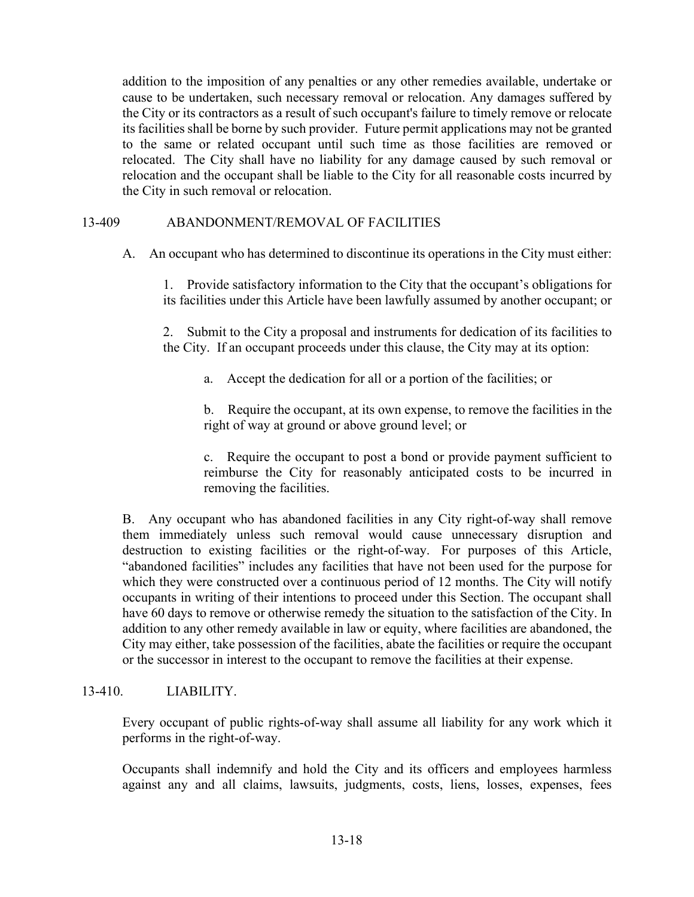addition to the imposition of any penalties or any other remedies available, undertake or cause to be undertaken, such necessary removal or relocation. Any damages suffered by the City or its contractors as a result of such occupant's failure to timely remove or relocate its facilities shall be borne by such provider. Future permit applications may not be granted to the same or related occupant until such time as those facilities are removed or relocated. The City shall have no liability for any damage caused by such removal or relocation and the occupant shall be liable to the City for all reasonable costs incurred by the City in such removal or relocation.

# 13-409 ABANDONMENT/REMOVAL OF FACILITIES

A. An occupant who has determined to discontinue its operations in the City must either:

 1. Provide satisfactory information to the City that the occupant's obligations for its facilities under this Article have been lawfully assumed by another occupant; or

 2. Submit to the City a proposal and instruments for dedication of its facilities to the City. If an occupant proceeds under this clause, the City may at its option:

a. Accept the dedication for all or a portion of the facilities; or

 b. Require the occupant, at its own expense, to remove the facilities in the right of way at ground or above ground level; or

 c. Require the occupant to post a bond or provide payment sufficient to reimburse the City for reasonably anticipated costs to be incurred in removing the facilities.

B. Any occupant who has abandoned facilities in any City right-of-way shall remove them immediately unless such removal would cause unnecessary disruption and destruction to existing facilities or the right-of-way. For purposes of this Article, "abandoned facilities" includes any facilities that have not been used for the purpose for which they were constructed over a continuous period of 12 months. The City will notify occupants in writing of their intentions to proceed under this Section. The occupant shall have 60 days to remove or otherwise remedy the situation to the satisfaction of the City. In addition to any other remedy available in law or equity, where facilities are abandoned, the City may either, take possession of the facilities, abate the facilities or require the occupant or the successor in interest to the occupant to remove the facilities at their expense.

# 13-410. LIABILITY.

Every occupant of public rights-of-way shall assume all liability for any work which it performs in the right-of-way.

Occupants shall indemnify and hold the City and its officers and employees harmless against any and all claims, lawsuits, judgments, costs, liens, losses, expenses, fees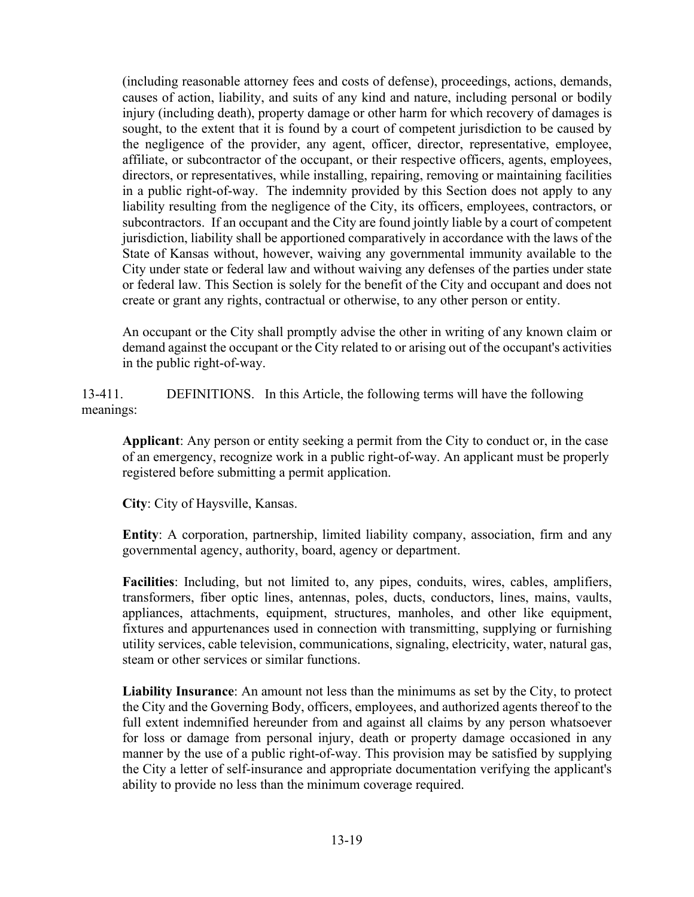(including reasonable attorney fees and costs of defense), proceedings, actions, demands, causes of action, liability, and suits of any kind and nature, including personal or bodily injury (including death), property damage or other harm for which recovery of damages is sought, to the extent that it is found by a court of competent jurisdiction to be caused by the negligence of the provider, any agent, officer, director, representative, employee, affiliate, or subcontractor of the occupant, or their respective officers, agents, employees, directors, or representatives, while installing, repairing, removing or maintaining facilities in a public right-of-way. The indemnity provided by this Section does not apply to any liability resulting from the negligence of the City, its officers, employees, contractors, or subcontractors. If an occupant and the City are found jointly liable by a court of competent jurisdiction, liability shall be apportioned comparatively in accordance with the laws of the State of Kansas without, however, waiving any governmental immunity available to the City under state or federal law and without waiving any defenses of the parties under state or federal law. This Section is solely for the benefit of the City and occupant and does not create or grant any rights, contractual or otherwise, to any other person or entity.

An occupant or the City shall promptly advise the other in writing of any known claim or demand against the occupant or the City related to or arising out of the occupant's activities in the public right-of-way.

13-411. DEFINITIONS. In this Article, the following terms will have the following meanings:

**Applicant**: Any person or entity seeking a permit from the City to conduct or, in the case of an emergency, recognize work in a public right-of-way. An applicant must be properly registered before submitting a permit application.

**City**: City of Haysville, Kansas.

**Entity**: A corporation, partnership, limited liability company, association, firm and any governmental agency, authority, board, agency or department.

**Facilities**: Including, but not limited to, any pipes, conduits, wires, cables, amplifiers, transformers, fiber optic lines, antennas, poles, ducts, conductors, lines, mains, vaults, appliances, attachments, equipment, structures, manholes, and other like equipment, fixtures and appurtenances used in connection with transmitting, supplying or furnishing utility services, cable television, communications, signaling, electricity, water, natural gas, steam or other services or similar functions.

**Liability Insurance**: An amount not less than the minimums as set by the City, to protect the City and the Governing Body, officers, employees, and authorized agents thereof to the full extent indemnified hereunder from and against all claims by any person whatsoever for loss or damage from personal injury, death or property damage occasioned in any manner by the use of a public right-of-way. This provision may be satisfied by supplying the City a letter of self-insurance and appropriate documentation verifying the applicant's ability to provide no less than the minimum coverage required.